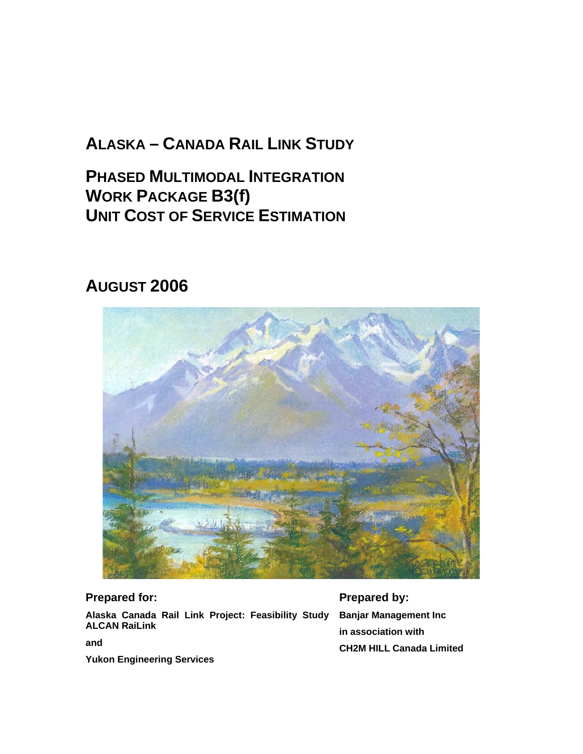# **ALASKA – CANADA RAIL LINK STUDY**

**PHASED MULTIMODAL INTEGRATION WORK PACKAGE B3(f) UNIT COST OF SERVICE ESTIMATION**

# **AUGUST 2006**



## **Prepared for:**

**Alaska Canada Rail Link Project: Feasibility Study ALCAN RaiLink** 

**Prepared by: Banjar Management Inc in association with CH2M HILL Canada Limited**

**and** 

**Yukon Engineering Services**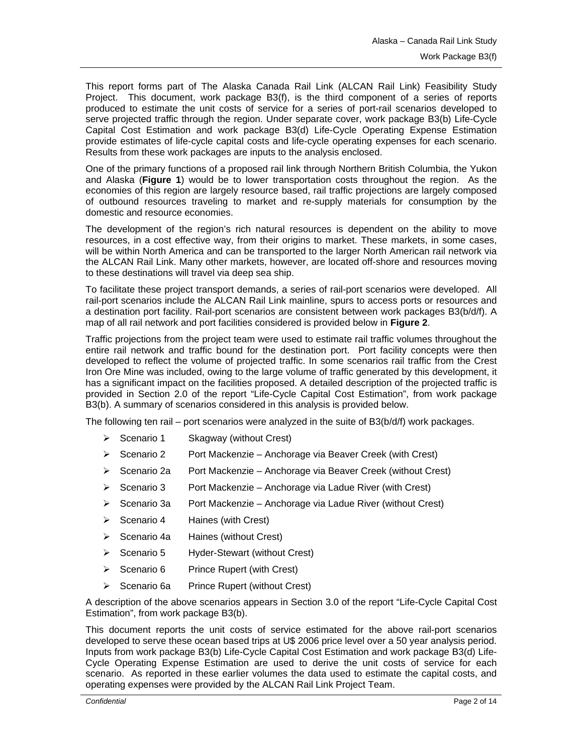This report forms part of The Alaska Canada Rail Link (ALCAN Rail Link) Feasibility Study Project. This document, work package B3(f), is the third component of a series of reports produced to estimate the unit costs of service for a series of port-rail scenarios developed to serve projected traffic through the region. Under separate cover, work package B3(b) Life-Cycle Capital Cost Estimation and work package B3(d) Life-Cycle Operating Expense Estimation provide estimates of life-cycle capital costs and life-cycle operating expenses for each scenario. Results from these work packages are inputs to the analysis enclosed.

One of the primary functions of a proposed rail link through Northern British Columbia, the Yukon and Alaska (**Figure 1**) would be to lower transportation costs throughout the region. As the economies of this region are largely resource based, rail traffic projections are largely composed of outbound resources traveling to market and re-supply materials for consumption by the domestic and resource economies.

The development of the region's rich natural resources is dependent on the ability to move resources, in a cost effective way, from their origins to market. These markets, in some cases, will be within North America and can be transported to the larger North American rail network via the ALCAN Rail Link. Many other markets, however, are located off-shore and resources moving to these destinations will travel via deep sea ship.

To facilitate these project transport demands, a series of rail-port scenarios were developed. All rail-port scenarios include the ALCAN Rail Link mainline, spurs to access ports or resources and a destination port facility. Rail-port scenarios are consistent between work packages B3(b/d/f). A map of all rail network and port facilities considered is provided below in **Figure 2**.

Traffic projections from the project team were used to estimate rail traffic volumes throughout the entire rail network and traffic bound for the destination port. Port facility concepts were then developed to reflect the volume of projected traffic. In some scenarios rail traffic from the Crest Iron Ore Mine was included, owing to the large volume of traffic generated by this development, it has a significant impact on the facilities proposed. A detailed description of the projected traffic is provided in Section 2.0 of the report "Life-Cycle Capital Cost Estimation", from work package B3(b). A summary of scenarios considered in this analysis is provided below.

The following ten rail – port scenarios were analyzed in the suite of B3(b/d/f) work packages.

- $\triangleright$  Scenario 1 Skagway (without Crest)
- $\triangleright$  Scenario 2 Port Mackenzie Anchorage via Beaver Creek (with Crest)
- ¾ Scenario 2a Port Mackenzie Anchorage via Beaver Creek (without Crest)
- $\triangleright$  Scenario 3 Port Mackenzie Anchorage via Ladue River (with Crest)
- $\triangleright$  Scenario 3a Port Mackenzie Anchorage via Ladue River (without Crest)
- $\triangleright$  Scenario 4 Haines (with Crest)
- ¾ Scenario 4a Haines (without Crest)
- $\triangleright$  Scenario 5 Hyder-Stewart (without Crest)
- ¾ Scenario 6 Prince Rupert (with Crest)
- ¾ Scenario 6a Prince Rupert (without Crest)

A description of the above scenarios appears in Section 3.0 of the report "Life-Cycle Capital Cost Estimation", from work package B3(b).

This document reports the unit costs of service estimated for the above rail-port scenarios developed to serve these ocean based trips at U\$ 2006 price level over a 50 year analysis period. Inputs from work package B3(b) Life-Cycle Capital Cost Estimation and work package B3(d) Life-Cycle Operating Expense Estimation are used to derive the unit costs of service for each scenario. As reported in these earlier volumes the data used to estimate the capital costs, and operating expenses were provided by the ALCAN Rail Link Project Team.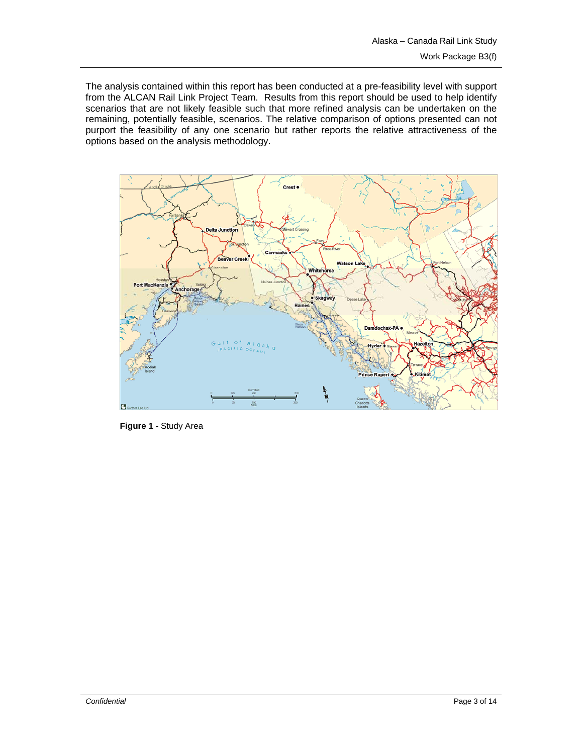The analysis contained within this report has been conducted at a pre-feasibility level with support from the ALCAN Rail Link Project Team. Results from this report should be used to help identify scenarios that are not likely feasible such that more refined analysis can be undertaken on the remaining, potentially feasible, scenarios. The relative comparison of options presented can not purport the feasibility of any one scenario but rather reports the relative attractiveness of the options based on the analysis methodology.



**Figure 1 -** Study Area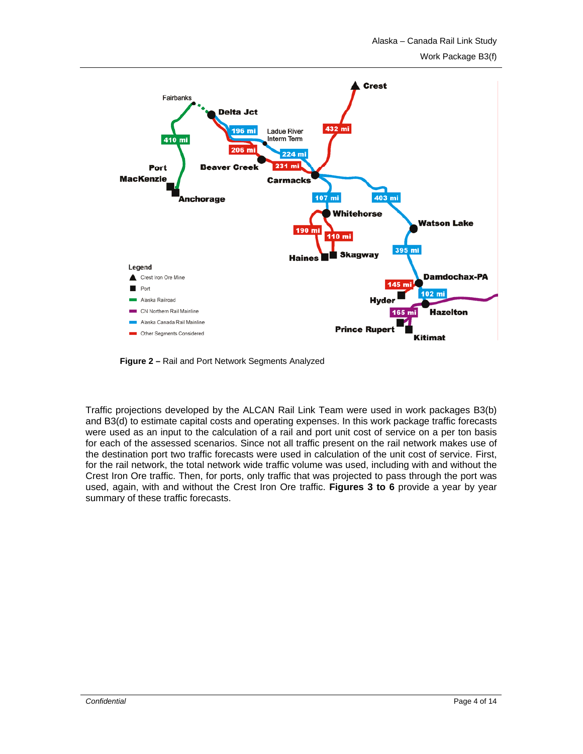

**Figure 2 –** Rail and Port Network Segments Analyzed

Traffic projections developed by the ALCAN Rail Link Team were used in work packages B3(b) and B3(d) to estimate capital costs and operating expenses. In this work package traffic forecasts were used as an input to the calculation of a rail and port unit cost of service on a per ton basis for each of the assessed scenarios. Since not all traffic present on the rail network makes use of the destination port two traffic forecasts were used in calculation of the unit cost of service. First, for the rail network, the total network wide traffic volume was used, including with and without the Crest Iron Ore traffic. Then, for ports, only traffic that was projected to pass through the port was used, again, with and without the Crest Iron Ore traffic. **Figures 3 to 6** provide a year by year summary of these traffic forecasts.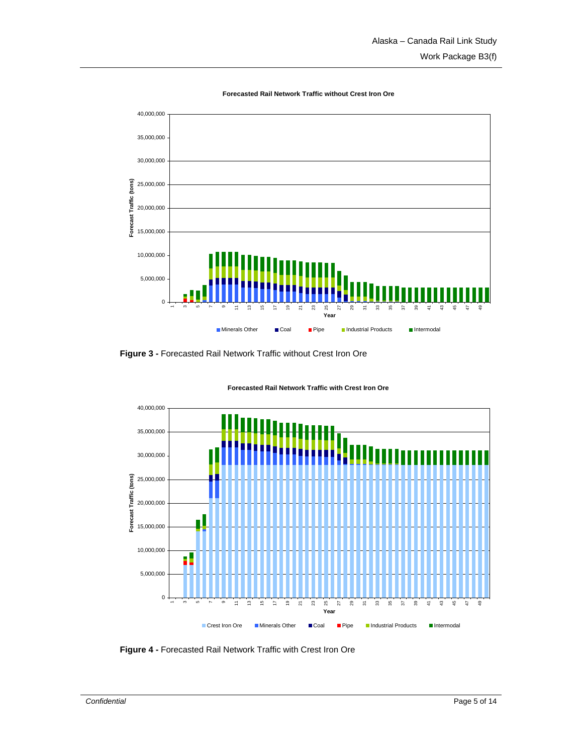

**Forecasted Rail Network Traffic without Crest Iron Ore**

**Figure 3 -** Forecasted Rail Network Traffic without Crest Iron Ore



**Forecasted Rail Network Traffic with Crest Iron Ore**

**Figure 4 -** Forecasted Rail Network Traffic with Crest Iron Ore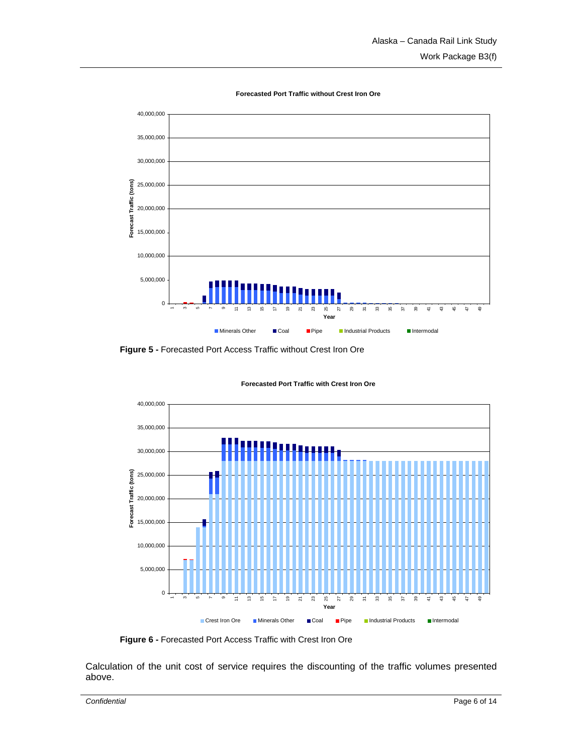



**Figure 5 -** Forecasted Port Access Traffic without Crest Iron Ore



**Forecasted Port Traffic with Crest Iron Ore**

**Figure 6 -** Forecasted Port Access Traffic with Crest Iron Ore

Calculation of the unit cost of service requires the discounting of the traffic volumes presented above.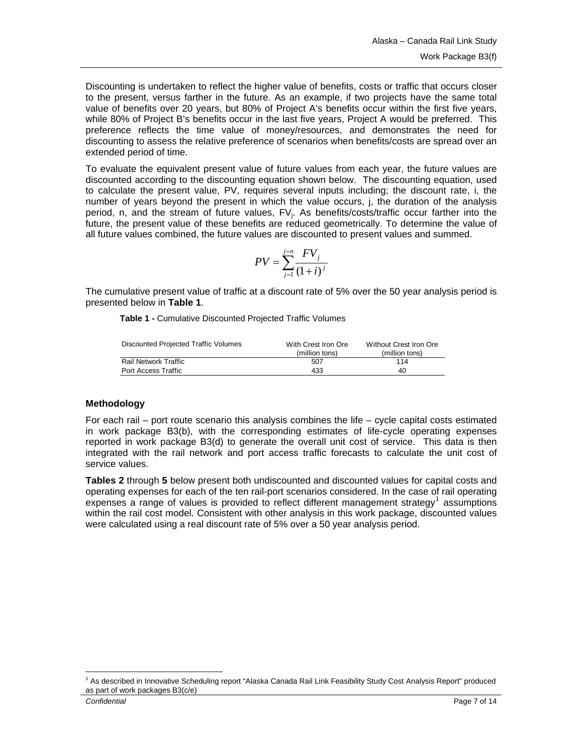<span id="page-6-0"></span>Discounting is undertaken to reflect the higher value of benefits, costs or traffic that occurs closer to the present, versus farther in the future. As an example, if two projects have the same total value of benefits over 20 years, but 80% of Project A's benefits occur within the first five years, while 80% of Project B's benefits occur in the last five years, Project A would be preferred. This preference reflects the time value of money/resources, and demonstrates the need for discounting to assess the relative preference of scenarios when benefits/costs are spread over an extended period of time.

To evaluate the equivalent present value of future values from each year, the future values are discounted according to the discounting equation shown below. The discounting equation, used to calculate the present value, PV, requires several inputs including; the discount rate, i, the number of years beyond the present in which the value occurs, j, the duration of the analysis period, n, and the stream of future values, FV<sub>i</sub>. As benefits/costs/traffic occur farther into the future, the present value of these benefits are reduced geometrically. To determine the value of all future values combined, the future values are discounted to present values and summed.

$$
PV = \sum_{j=1}^{j=n} \frac{FV_j}{(1+i)^j}
$$

The cumulative present value of traffic at a discount rate of 5% over the 50 year analysis period is presented below in **Table 1**.

**Table 1 -** Cumulative Discounted Projected Traffic Volumes

| With Crest Iron Ore | Without Crest Iron Ore |  |  |
|---------------------|------------------------|--|--|
| (million tons)      | (million tons)         |  |  |
| 507                 | 114                    |  |  |
| 433                 | 40                     |  |  |
|                     |                        |  |  |

## **Methodology**

For each rail – port route scenario this analysis combines the life – cycle capital costs estimated in work package B3(b), with the corresponding estimates of life-cycle operating expenses reported in work package B3(d) to generate the overall unit cost of service. This data is then integrated with the rail network and port access traffic forecasts to calculate the unit cost of service values.

**Tables 2** through **5** below present both undiscounted and discounted values for capital costs and operating expenses for each of the ten rail-port scenarios considered. In the case of rail operating  $e$ xpenses a range of values is provided to reflect different management strategy<sup>[1](#page-6-0)</sup> assumptions within the rail cost model. Consistent with other analysis in this work package, discounted values were calculated using a real discount rate of 5% over a 50 year analysis period.

 $\overline{a}$ 

<sup>&</sup>lt;sup>1</sup> As described in Innovative Scheduling report "Alaska Canada Rail Link Feasibility Study Cost Analysis Report" produced as part of work packages B3(c/e)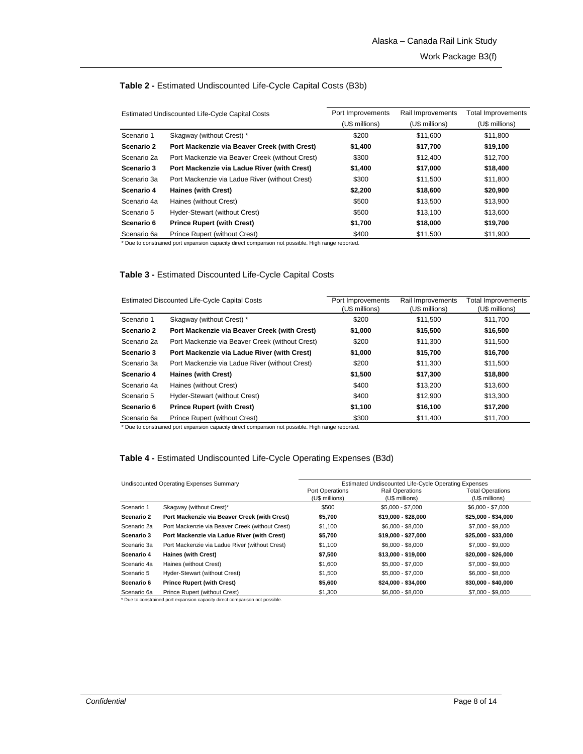| Estimated Undiscounted Life-Cycle Capital Costs |                                                 | Port Improvements | Rail Improvements | Total Improvements |  |
|-------------------------------------------------|-------------------------------------------------|-------------------|-------------------|--------------------|--|
|                                                 |                                                 | (U\$ millions)    | (U\$ millions)    | (U\$ millions)     |  |
| Scenario 1                                      | Skagway (without Crest) *                       | \$200             | \$11,600          | \$11.800           |  |
| Scenario 2                                      | Port Mackenzie via Beaver Creek (with Crest)    | \$1,400           | \$17,700          | \$19,100           |  |
| Scenario 2a                                     | Port Mackenzie via Beaver Creek (without Crest) | \$300             | \$12,400          | \$12,700           |  |
| Scenario 3                                      | Port Mackenzie via Ladue River (with Crest)     | \$1,400           | \$17,000          | \$18,400           |  |
| Scenario 3a                                     | Port Mackenzie via Ladue River (without Crest)  | \$300             | \$11,500          | \$11,800           |  |
| Scenario 4                                      | Haines (with Crest)                             | \$2,200           | \$18,600          | \$20,900           |  |
| Scenario 4a                                     | Haines (without Crest)                          | \$500             | \$13,500          | \$13,900           |  |
| Scenario 5                                      | Hyder-Stewart (without Crest)                   | \$500             | \$13,100          | \$13,600           |  |
| Scenario 6                                      | <b>Prince Rupert (with Crest)</b>               | \$1,700           | \$18,000          | \$19,700           |  |
| Scenario 6a                                     | Prince Rupert (without Crest)                   | \$400             | \$11,500          | \$11,900           |  |

#### **Table 2 -** Estimated Undiscounted Life-Cycle Capital Costs (B3b)

\* Due to constrained port expansion capacity direct comparison not possible. High range reported.

#### **Table 3 -** Estimated Discounted Life-Cycle Capital Costs

|             | <b>Estimated Discounted Life-Cycle Capital Costs</b> | Port Improvements<br>(U\$ millions) | Rail Improvements<br>(U\$ millions) | <b>Total Improvements</b><br>(U\$ millions) |  |
|-------------|------------------------------------------------------|-------------------------------------|-------------------------------------|---------------------------------------------|--|
| Scenario 1  | Skagway (without Crest) *                            | \$200                               | \$11.500                            | \$11,700                                    |  |
| Scenario 2  | Port Mackenzie via Beaver Creek (with Crest)         | \$1,000                             | \$15,500                            | \$16,500                                    |  |
| Scenario 2a | Port Mackenzie via Beaver Creek (without Crest)      | \$200                               | \$11.300                            | \$11,500                                    |  |
| Scenario 3  | Port Mackenzie via Ladue River (with Crest)          | \$1,000                             | \$15,700                            | \$16,700                                    |  |
| Scenario 3a | Port Mackenzie via Ladue River (without Crest)       | \$200                               | \$11,300                            | \$11,500                                    |  |
| Scenario 4  | Haines (with Crest)                                  | \$1,500                             | \$17,300                            | \$18,800                                    |  |
| Scenario 4a | Haines (without Crest)                               | \$400                               | \$13,200                            | \$13,600                                    |  |
| Scenario 5  | Hyder-Stewart (without Crest)                        | \$400                               | \$12,900                            | \$13,300                                    |  |
| Scenario 6  | <b>Prince Rupert (with Crest)</b>                    | \$1,100                             | \$16,100                            | \$17,200                                    |  |
| Scenario 6a | Prince Rupert (without Crest)                        | \$300                               | \$11.400                            | \$11.700                                    |  |

\* Due to constrained port expansion capacity direct comparison not possible. High range reported.

#### **Table 4 -** Estimated Undiscounted Life-Cycle Operating Expenses (B3d)

| Undiscounted Operating Expenses Summary |                                                 | Estimated Undiscounted Life-Cycle Operating Expenses |                                          |                                           |  |  |  |  |
|-----------------------------------------|-------------------------------------------------|------------------------------------------------------|------------------------------------------|-------------------------------------------|--|--|--|--|
|                                         |                                                 | Port Operations<br>(U\$ millions)                    | <b>Rail Operations</b><br>(U\$ millions) | <b>Total Operations</b><br>(U\$ millions) |  |  |  |  |
| Scenario 1                              | Skagway (without Crest)*                        | \$500                                                | \$5,000 - \$7,000                        | $$6,000 - $7,000$                         |  |  |  |  |
| Scenario 2                              | Port Mackenzie via Beaver Creek (with Crest)    | \$5,700                                              | \$19,000 - \$28,000                      | \$25,000 - \$34,000                       |  |  |  |  |
| Scenario 2a                             | Port Mackenzie via Beaver Creek (without Crest) | \$1,100                                              | $$6,000 - $8,000$                        | $$7,000 - $9,000$                         |  |  |  |  |
| Scenario 3                              | Port Mackenzie via Ladue River (with Crest)     | \$5,700                                              | \$19,000 - \$27,000                      | \$25,000 - \$33,000                       |  |  |  |  |
| Scenario 3a                             | Port Mackenzie via Ladue River (without Crest)  | \$1,100                                              | \$6,000 - \$8,000                        | \$7,000 - \$9,000                         |  |  |  |  |
| Scenario 4                              | <b>Haines (with Crest)</b>                      | \$7,500                                              | \$13,000 - \$19,000                      | \$20,000 - \$26,000                       |  |  |  |  |
| Scenario 4a                             | Haines (without Crest)                          | \$1,600                                              | \$5,000 - \$7,000                        | $$7,000 - $9,000$                         |  |  |  |  |
| Scenario 5                              | Hyder-Stewart (without Crest)                   | \$1.500                                              | \$5,000 - \$7,000                        | $$6.000 - $8.000$                         |  |  |  |  |
| Scenario 6                              | <b>Prince Rupert (with Crest)</b>               | \$5,600                                              | \$24,000 - \$34,000                      | \$30,000 - \$40,000                       |  |  |  |  |
| Scenario 6a                             | Prince Rupert (without Crest)                   | \$1,300                                              | $$6,000 - $8,000$                        | $$7,000 - $9,000$                         |  |  |  |  |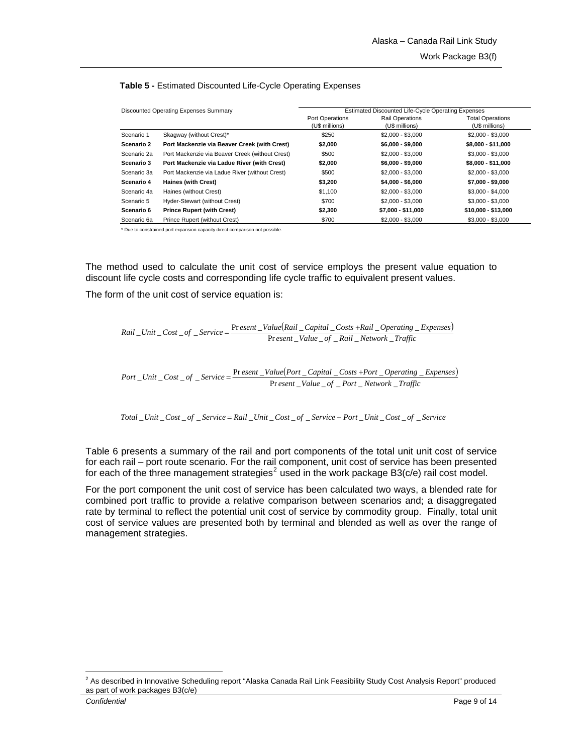| Discounted Operating Expenses Summary |                                                 | Estimated Discounted Life-Cycle Operating Expenses |                                          |                                           |  |  |  |  |
|---------------------------------------|-------------------------------------------------|----------------------------------------------------|------------------------------------------|-------------------------------------------|--|--|--|--|
|                                       |                                                 | Port Operations<br>(U\$ millions)                  | <b>Rail Operations</b><br>(U\$ millions) | <b>Total Operations</b><br>(U\$ millions) |  |  |  |  |
| Scenario 1                            | Skagway (without Crest)*                        | \$250                                              | $$2,000 - $3,000$                        | $$2,000 - $3,000$                         |  |  |  |  |
| Scenario 2                            | Port Mackenzie via Beaver Creek (with Crest)    | \$2,000                                            | $$6,000 - $9,000$                        | \$8,000 - \$11,000                        |  |  |  |  |
| Scenario 2a                           | Port Mackenzie via Beaver Creek (without Crest) | \$500                                              | \$2,000 - \$3,000                        | \$3.000 - \$3.000                         |  |  |  |  |
| Scenario 3                            | Port Mackenzie via Ladue River (with Crest)     | \$2,000                                            | $$6,000 - $9,000$                        | \$8,000 - \$11,000                        |  |  |  |  |
| Scenario 3a                           | Port Mackenzie via Ladue River (without Crest)  | \$500                                              | $$2.000 - $3.000$                        | $$2.000 - $3.000$                         |  |  |  |  |
| Scenario 4                            | Haines (with Crest)                             | \$3,200                                            | $$4,000 - $6,000$                        | \$7,000 - \$9,000                         |  |  |  |  |
| Scenario 4a                           | Haines (without Crest)                          | \$1,100                                            | $$2.000 - $3.000$                        | $$3,000 - $4,000$                         |  |  |  |  |
| Scenario 5                            | Hyder-Stewart (without Crest)                   | \$700                                              | \$2,000 - \$3,000                        | \$3.000 - \$3.000                         |  |  |  |  |
| Scenario 6                            | <b>Prince Rupert (with Crest)</b>               | \$2,300                                            | \$7,000 - \$11,000                       | \$10,000 - \$13,000                       |  |  |  |  |
| Scenario 6a                           | Prince Rupert (without Crest)                   | \$700                                              | $$2,000 - $3,000$                        | $$3,000 - $3,000$                         |  |  |  |  |

#### <span id="page-8-0"></span>**Table 5 -** Estimated Discounted Life-Cycle Operating Expenses

\* Due to constrained port expansion capacity direct comparison not possible.

The method used to calculate the unit cost of service employs the present value equation to discount life cycle costs and corresponding life cycle traffic to equivalent present values.

The form of the unit cost of service equation is:

 $Rail\_Unit\_Cost\_of\_Service} = \frac{\text{Present\_Value(Rail\_Capital\_Costs+Real\_Operating\_Expenses)}}{\text{Present\_Value\_of\_Rail\_Network\_Traffic}}$ </u>  $\vec{r}$  *esent* \_Value \_of \_Rail \_Network \_Traffic

 $(Port\_Capital\_Costs + Port\_Operating\_Express)$ *Port* \_Unit \_Cost \_of \_Service =  $\frac{\text{Present\_Value}[\text{Port\_Capital\_Costs + Port\_Operating\_Expenses}]}{\text{Present\_Value\_of\_Port\_Network\_Traffic}}$ 

Total \_Unit \_Cost \_of \_Service = Rail \_Unit \_Cost \_of \_Service + Port \_Unit \_Cost \_of \_Service

Table 6 presents a summary of the rail and port components of the total unit unit cost of service for each rail – port route scenario. For the rail component, unit cost of service has been presented for each of the three management strategies<sup>[2](#page-8-0)</sup> used in the work package B3(c/e) rail cost model.

For the port component the unit cost of service has been calculated two ways, a blended rate for combined port traffic to provide a relative comparison between scenarios and; a disaggregated rate by terminal to reflect the potential unit cost of service by commodity group. Finally, total unit cost of service values are presented both by terminal and blended as well as over the range of management strategies.

 2 As described in Innovative Scheduling report "Alaska Canada Rail Link Feasibility Study Cost Analysis Report" produced as part of work packages B3(c/e)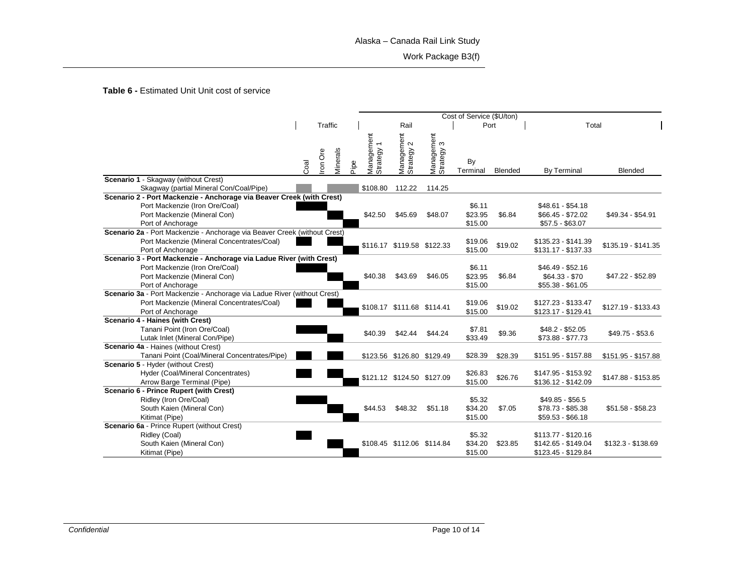### Alaska – Canada Rail Link Study

Work Package B3(f)

**Table 6 -** Estimated Unit Unit cost of service

|                                                                           |      |         |          | Cost of Service (\$U/ton) |                          |                            |                          |          |         |       |                     |                     |
|---------------------------------------------------------------------------|------|---------|----------|---------------------------|--------------------------|----------------------------|--------------------------|----------|---------|-------|---------------------|---------------------|
|                                                                           |      | Traffic |          |                           |                          | Rail                       | Port                     |          |         | Total |                     |                     |
|                                                                           |      | ron Ore | Minerals |                           | Management<br>Strategy 1 | Management<br>Strategy 2   | Management<br>Strategy 3 | By       |         |       |                     |                     |
|                                                                           | Coal |         |          | Pipe                      |                          |                            |                          | Terminal | Blended |       | <b>By Terminal</b>  | <b>Blended</b>      |
| Scenario 1 - Skagway (without Crest)                                      |      |         |          |                           |                          |                            |                          |          |         |       |                     |                     |
| Skagway (partial Mineral Con/Coal/Pipe)                                   |      |         |          |                           | \$108.80                 | 112.22                     | 114.25                   |          |         |       |                     |                     |
| Scenario 2 - Port Mackenzie - Anchorage via Beaver Creek (with Crest)     |      |         |          |                           |                          |                            |                          |          |         |       |                     |                     |
| Port Mackenzie (Iron Ore/Coal)                                            |      |         |          |                           |                          |                            |                          | \$6.11   |         |       | $$48.61 - $54.18$   |                     |
| Port Mackenzie (Mineral Con)                                              |      |         |          |                           | \$42.50                  | \$45.69                    | \$48.07                  | \$23.95  | \$6.84  |       | \$66.45 - \$72.02   | \$49.34 - \$54.91   |
| Port of Anchorage                                                         |      |         |          |                           |                          |                            |                          | \$15.00  |         |       | $$57.5 - $63.07$    |                     |
| Scenario 2a - Port Mackenzie - Anchorage via Beaver Creek (without Crest) |      |         |          |                           |                          |                            |                          |          |         |       |                     |                     |
| Port Mackenzie (Mineral Concentrates/Coal)                                |      |         |          |                           |                          | \$116.17 \$119.58 \$122.33 |                          | \$19.06  | \$19.02 |       | $$135.23 - $141.39$ | \$135.19 - \$141.35 |
| Port of Anchorage                                                         |      |         |          |                           |                          |                            |                          | \$15.00  |         |       | \$131.17 - \$137.33 |                     |
| Scenario 3 - Port Mackenzie - Anchorage via Ladue River (with Crest)      |      |         |          |                           |                          |                            |                          |          |         |       |                     |                     |
| Port Mackenzie (Iron Ore/Coal)                                            |      |         |          |                           |                          |                            |                          | \$6.11   |         |       | \$46.49 - \$52.16   |                     |
| Port Mackenzie (Mineral Con)                                              |      |         |          |                           | \$40.38                  | \$43.69                    | \$46.05                  | \$23.95  | \$6.84  |       | $$64.33 - $70$      | \$47.22 - \$52.89   |
| Port of Anchorage                                                         |      |         |          |                           |                          |                            |                          | \$15.00  |         |       | $$55.38 - $61.05$   |                     |
| Scenario 3a - Port Mackenzie - Anchorage via Ladue River (without Crest)  |      |         |          |                           |                          |                            |                          |          |         |       |                     |                     |
| Port Mackenzie (Mineral Concentrates/Coal)                                |      |         |          |                           |                          | \$108.17 \$111.68 \$114.41 |                          | \$19.06  | \$19.02 |       | \$127.23 - \$133.47 | \$127.19 - \$133.43 |
| Port of Anchorage                                                         |      |         |          |                           |                          |                            |                          | \$15.00  |         |       | \$123.17 - \$129.41 |                     |
| Scenario 4 - Haines (with Crest)                                          |      |         |          |                           |                          |                            |                          |          |         |       |                     |                     |
| Tanani Point (Iron Ore/Coal)                                              |      |         |          |                           | \$40.39                  | \$42.44                    | \$44.24                  | \$7.81   | \$9.36  |       | $$48.2 - $52.05$    | \$49.75 - \$53.6    |
| Lutak Inlet (Mineral Con/Pipe)                                            |      |         |          |                           |                          |                            |                          | \$33.49  |         |       | \$73.88 - \$77.73   |                     |
| Scenario 4a - Haines (without Crest)                                      |      |         |          |                           |                          |                            |                          |          |         |       |                     |                     |
| Tanani Point (Coal/Mineral Concentrates/Pipe)                             |      |         |          |                           |                          | \$123.56 \$126.80 \$129.49 |                          | \$28.39  | \$28.39 |       | \$151.95 - \$157.88 | \$151.95 - \$157.88 |
| Scenario 5 - Hyder (without Crest)                                        |      |         |          |                           |                          |                            |                          |          |         |       |                     |                     |
| Hyder (Coal/Mineral Concentrates)                                         |      |         |          |                           |                          | \$121.12 \$124.50 \$127.09 |                          | \$26.83  | \$26.76 |       | \$147.95 - \$153.92 | \$147.88 - \$153.85 |
| Arrow Barge Terminal (Pipe)                                               |      |         |          |                           |                          |                            |                          | \$15.00  |         |       | \$136.12 - \$142.09 |                     |
| <b>Scenario 6 - Prince Rupert (with Crest)</b>                            |      |         |          |                           |                          |                            |                          |          |         |       |                     |                     |
| Ridley (Iron Ore/Coal)                                                    |      |         |          |                           |                          |                            |                          | \$5.32   |         |       | $$49.85 - $56.5$    |                     |
| South Kaien (Mineral Con)                                                 |      |         |          |                           | \$44.53                  | \$48.32                    | \$51.18                  | \$34.20  | \$7.05  |       | \$78.73 - \$85.38   | $$51.58 - $58.23$   |
| Kitimat (Pipe)                                                            |      |         |          |                           |                          |                            |                          | \$15.00  |         |       | $$59.53 - $66.18$   |                     |
| Scenario 6a - Prince Rupert (without Crest)                               |      |         |          |                           |                          |                            |                          |          |         |       |                     |                     |
| Ridley (Coal)                                                             |      |         |          |                           |                          |                            |                          | \$5.32   |         |       | \$113.77 - \$120.16 |                     |
| South Kaien (Mineral Con)                                                 |      |         |          |                           |                          | \$108.45 \$112.06 \$114.84 |                          | \$34.20  | \$23.85 |       | \$142.65 - \$149.04 | \$132.3 - \$138.69  |
| Kitimat (Pipe)                                                            |      |         |          |                           |                          |                            |                          | \$15.00  |         |       | \$123.45 - \$129.84 |                     |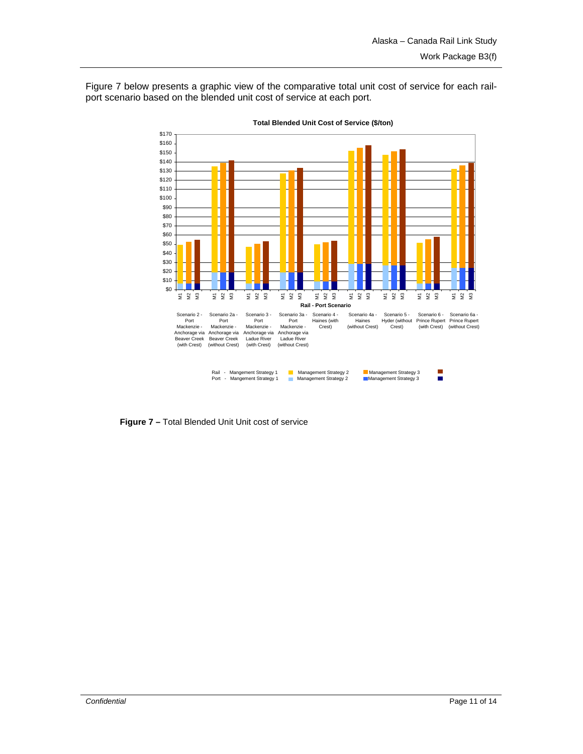Figure 7 below presents a graphic view of the comparative total unit cost of service for each railport scenario based on the blended unit cost of service at each port.

![](_page_10_Figure_2.jpeg)

**Total Blended Unit Cost of Service (\$/ton)**

**Figure 7 –** Total Blended Unit Unit cost of service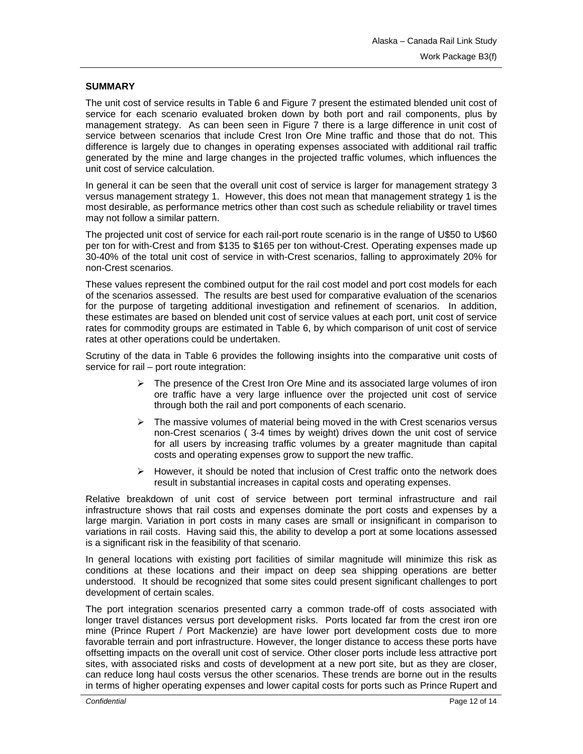### **SUMMARY**

The unit cost of service results in Table 6 and Figure 7 present the estimated blended unit cost of service for each scenario evaluated broken down by both port and rail components, plus by management strategy. As can been seen in Figure 7 there is a large difference in unit cost of service between scenarios that include Crest Iron Ore Mine traffic and those that do not. This difference is largely due to changes in operating expenses associated with additional rail traffic generated by the mine and large changes in the projected traffic volumes, which influences the unit cost of service calculation.

In general it can be seen that the overall unit cost of service is larger for management strategy 3 versus management strategy 1. However, this does not mean that management strategy 1 is the most desirable, as performance metrics other than cost such as schedule reliability or travel times may not follow a similar pattern.

The projected unit cost of service for each rail-port route scenario is in the range of U\$50 to U\$60 per ton for with-Crest and from \$135 to \$165 per ton without-Crest. Operating expenses made up 30-40% of the total unit cost of service in with-Crest scenarios, falling to approximately 20% for non-Crest scenarios.

These values represent the combined output for the rail cost model and port cost models for each of the scenarios assessed. The results are best used for comparative evaluation of the scenarios for the purpose of targeting additional investigation and refinement of scenarios. In addition, these estimates are based on blended unit cost of service values at each port, unit cost of service rates for commodity groups are estimated in Table 6, by which comparison of unit cost of service rates at other operations could be undertaken.

Scrutiny of the data in Table 6 provides the following insights into the comparative unit costs of service for rail – port route integration:

- $\triangleright$  The presence of the Crest Iron Ore Mine and its associated large volumes of iron ore traffic have a very large influence over the projected unit cost of service through both the rail and port components of each scenario.
- $\triangleright$  The massive volumes of material being moved in the with Crest scenarios versus non-Crest scenarios ( 3-4 times by weight) drives down the unit cost of service for all users by increasing traffic volumes by a greater magnitude than capital costs and operating expenses grow to support the new traffic.
- $\triangleright$  However, it should be noted that inclusion of Crest traffic onto the network does result in substantial increases in capital costs and operating expenses.

Relative breakdown of unit cost of service between port terminal infrastructure and rail infrastructure shows that rail costs and expenses dominate the port costs and expenses by a large margin. Variation in port costs in many cases are small or insignificant in comparison to variations in rail costs. Having said this, the ability to develop a port at some locations assessed is a significant risk in the feasibility of that scenario.

In general locations with existing port facilities of similar magnitude will minimize this risk as conditions at these locations and their impact on deep sea shipping operations are better understood. It should be recognized that some sites could present significant challenges to port development of certain scales.

The port integration scenarios presented carry a common trade-off of costs associated with longer travel distances versus port development risks. Ports located far from the crest iron ore mine (Prince Rupert / Port Mackenzie) are have lower port development costs due to more favorable terrain and port infrastructure. However, the longer distance to access these ports have offsetting impacts on the overall unit cost of service. Other closer ports include less attractive port sites, with associated risks and costs of development at a new port site, but as they are closer, can reduce long haul costs versus the other scenarios. These trends are borne out in the results in terms of higher operating expenses and lower capital costs for ports such as Prince Rupert and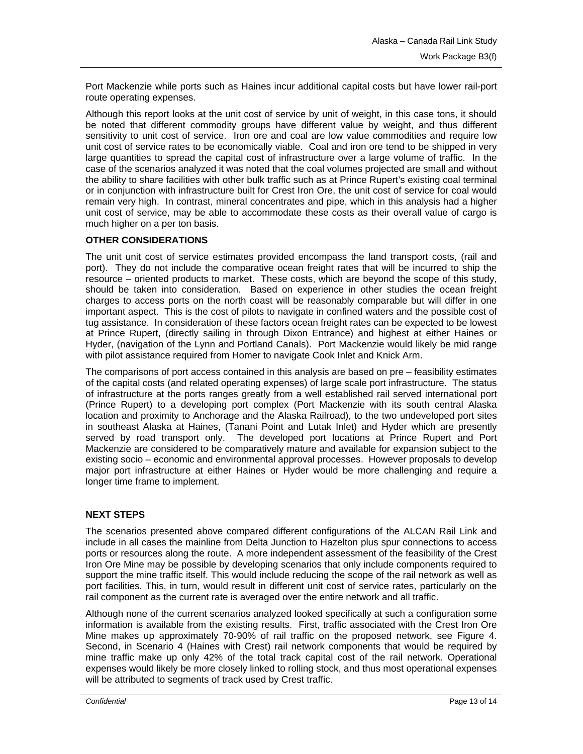Port Mackenzie while ports such as Haines incur additional capital costs but have lower rail-port route operating expenses.

Although this report looks at the unit cost of service by unit of weight, in this case tons, it should be noted that different commodity groups have different value by weight, and thus different sensitivity to unit cost of service. Iron ore and coal are low value commodities and require low unit cost of service rates to be economically viable. Coal and iron ore tend to be shipped in very large quantities to spread the capital cost of infrastructure over a large volume of traffic. In the case of the scenarios analyzed it was noted that the coal volumes projected are small and without the ability to share facilities with other bulk traffic such as at Prince Rupert's existing coal terminal or in conjunction with infrastructure built for Crest Iron Ore, the unit cost of service for coal would remain very high. In contrast, mineral concentrates and pipe, which in this analysis had a higher unit cost of service, may be able to accommodate these costs as their overall value of cargo is much higher on a per ton basis.

## **OTHER CONSIDERATIONS**

The unit unit cost of service estimates provided encompass the land transport costs, (rail and port). They do not include the comparative ocean freight rates that will be incurred to ship the resource – oriented products to market. These costs, which are beyond the scope of this study, should be taken into consideration. Based on experience in other studies the ocean freight charges to access ports on the north coast will be reasonably comparable but will differ in one important aspect. This is the cost of pilots to navigate in confined waters and the possible cost of tug assistance. In consideration of these factors ocean freight rates can be expected to be lowest at Prince Rupert, (directly sailing in through Dixon Entrance) and highest at either Haines or Hyder, (navigation of the Lynn and Portland Canals). Port Mackenzie would likely be mid range with pilot assistance required from Homer to navigate Cook Inlet and Knick Arm.

The comparisons of port access contained in this analysis are based on pre – feasibility estimates of the capital costs (and related operating expenses) of large scale port infrastructure. The status of infrastructure at the ports ranges greatly from a well established rail served international port (Prince Rupert) to a developing port complex (Port Mackenzie with its south central Alaska location and proximity to Anchorage and the Alaska Railroad), to the two undeveloped port sites in southeast Alaska at Haines, (Tanani Point and Lutak Inlet) and Hyder which are presently served by road transport only. The developed port locations at Prince Rupert and Port Mackenzie are considered to be comparatively mature and available for expansion subject to the existing socio – economic and environmental approval processes. However proposals to develop major port infrastructure at either Haines or Hyder would be more challenging and require a longer time frame to implement.

## **NEXT STEPS**

The scenarios presented above compared different configurations of the ALCAN Rail Link and include in all cases the mainline from Delta Junction to Hazelton plus spur connections to access ports or resources along the route. A more independent assessment of the feasibility of the Crest Iron Ore Mine may be possible by developing scenarios that only include components required to support the mine traffic itself. This would include reducing the scope of the rail network as well as port facilities. This, in turn, would result in different unit cost of service rates, particularly on the rail component as the current rate is averaged over the entire network and all traffic.

Although none of the current scenarios analyzed looked specifically at such a configuration some information is available from the existing results. First, traffic associated with the Crest Iron Ore Mine makes up approximately 70-90% of rail traffic on the proposed network, see Figure 4. Second, in Scenario 4 (Haines with Crest) rail network components that would be required by mine traffic make up only 42% of the total track capital cost of the rail network. Operational expenses would likely be more closely linked to rolling stock, and thus most operational expenses will be attributed to segments of track used by Crest traffic.